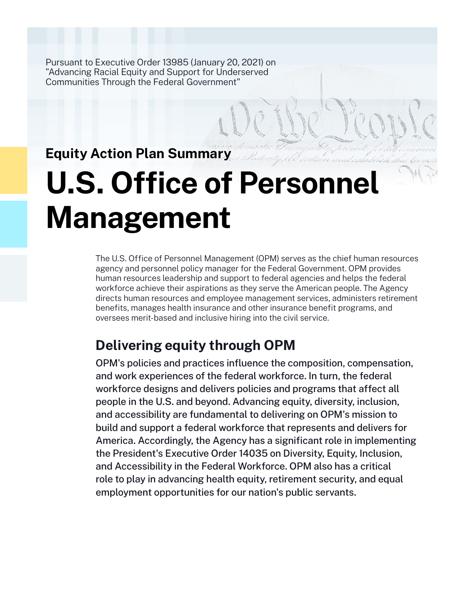Pursuant to Executive Order 13985 (January 20, 2021) on "Advancing Racial Equity and Support for Underserved Communities Through the Federal Government"

## **Equity Action Plan Summary**

# **U.S. Office of Person Management**

The U.S. Office of Personnel Management (OPM) serves as the chief human resources agency and personnel policy manager for the Federal Government. OPM provides human resources leadership and support to federal agencies and helps the federal workforce achieve their aspirations as they serve the American people. The Agency directs human resources and employee management services, administers retirement benefits, manages health insurance and other insurance benefit programs, and oversees merit-based and inclusive hiring into the civil service.

## **Delivering equity through OPM**

OPM's policies and practices influence the composition, compensation, and work experiences of the federal workforce. In turn, the federal workforce designs and delivers policies and programs that affect all people in the U.S. and beyond. Advancing equity, diversity, inclusion, and accessibility are fundamental to delivering on OPM's mission to build and support a federal workforce that represents and delivers for America. Accordingly, the Agency has a significant role in implementing the President's Executive Order 14035 on Diversity, Equity, Inclusion, and Accessibility in the Federal Workforce. OPM also has a critical role to play in advancing health equity, retirement security, and equal employment opportunities for our nation's public servants.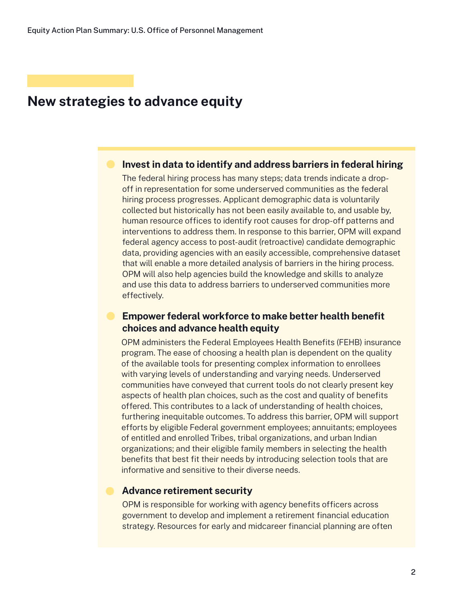## **New strategies to advance equity**

## **Invest in data to identify and address barriers in federal hiring**

The federal hiring process has many steps; data trends indicate a dropoff in representation for some underserved communities as the federal hiring process progresses. Applicant demographic data is voluntarily collected but historically has not been easily available to, and usable by, human resource offices to identify root causes for drop-off patterns and interventions to address them. In response to this barrier, OPM will expand federal agency access to post-audit (retroactive) candidate demographic data, providing agencies with an easily accessible, comprehensive dataset that will enable a more detailed analysis of barriers in the hiring process. OPM will also help agencies build the knowledge and skills to analyze and use this data to address barriers to underserved communities more effectively.

## **Empower federal workforce to make better health benefit choices and advance health equity**

OPM administers the Federal Employees Health Benefits (FEHB) insurance program. The ease of choosing a health plan is dependent on the quality of the available tools for presenting complex information to enrollees with varying levels of understanding and varying needs. Underserved communities have conveyed that current tools do not clearly present key aspects of health plan choices, such as the cost and quality of benefits offered. This contributes to a lack of understanding of health choices, furthering inequitable outcomes. To address this barrier, OPM will support efforts by eligible Federal government employees; annuitants; employees of entitled and enrolled Tribes, tribal organizations, and urban Indian organizations; and their eligible family members in selecting the health benefits that best fit their needs by introducing selection tools that are informative and sensitive to their diverse needs.

#### **Advance retirement security**

OPM is responsible for working with agency benefits officers across government to develop and implement a retirement financial education strategy. Resources for early and midcareer financial planning are often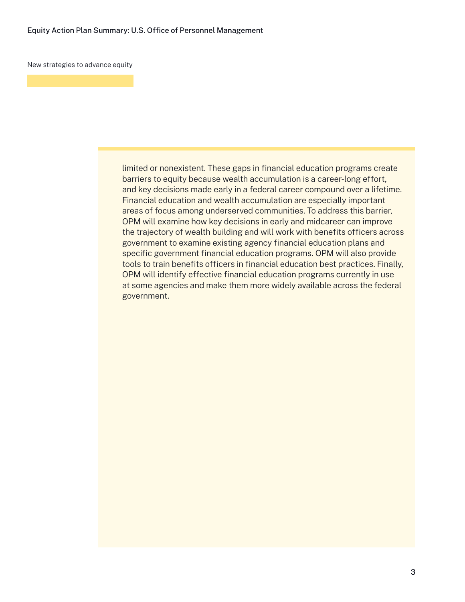New strategies to advance equity

limited or nonexistent. These gaps in financial education programs create barriers to equity because wealth accumulation is a career-long effort, and key decisions made early in a federal career compound over a lifetime. Financial education and wealth accumulation are especially important areas of focus among underserved communities. To address this barrier, OPM will examine how key decisions in early and midcareer can improve the trajectory of wealth building and will work with benefits officers across government to examine existing agency financial education plans and specific government financial education programs. OPM will also provide tools to train benefits officers in financial education best practices. Finally, OPM will identify effective financial education programs currently in use at some agencies and make them more widely available across the federal government.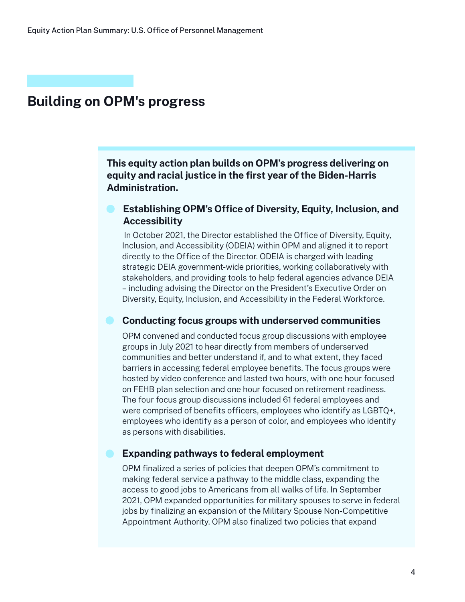## **Building on OPM's progress**

**This equity action plan builds on OPM's progress delivering on equity and racial justice in the first year of the Biden-Harris Administration.**

## **Establishing OPM's Office of Diversity, Equity, Inclusion, and Accessibility**

 In October 2021, the Director established the Office of Diversity, Equity, Inclusion, and Accessibility (ODEIA) within OPM and aligned it to report directly to the Office of the Director. ODEIA is charged with leading strategic DEIA government-wide priorities, working collaboratively with stakeholders, and providing tools to help federal agencies advance DEIA – including advising the Director on the President's Executive Order on Diversity, Equity, Inclusion, and Accessibility in the Federal Workforce.

### **Conducting focus groups with underserved communities**

OPM convened and conducted focus group discussions with employee groups in July 2021 to hear directly from members of underserved communities and better understand if, and to what extent, they faced barriers in accessing federal employee benefits. The focus groups were hosted by video conference and lasted two hours, with one hour focused on FEHB plan selection and one hour focused on retirement readiness. The four focus group discussions included 61 federal employees and were comprised of benefits officers, employees who identify as LGBTQ+, employees who identify as a person of color, and employees who identify as persons with disabilities.

## **Expanding pathways to federal employment**

OPM finalized a series of policies that deepen OPM's commitment to making federal service a pathway to the middle class, expanding the access to good jobs to Americans from all walks of life. In September 2021, OPM expanded opportunities for military spouses to serve in federal jobs by finalizing an expansion of the Military Spouse Non-Competitive Appointment Authority. OPM also finalized two policies that expand